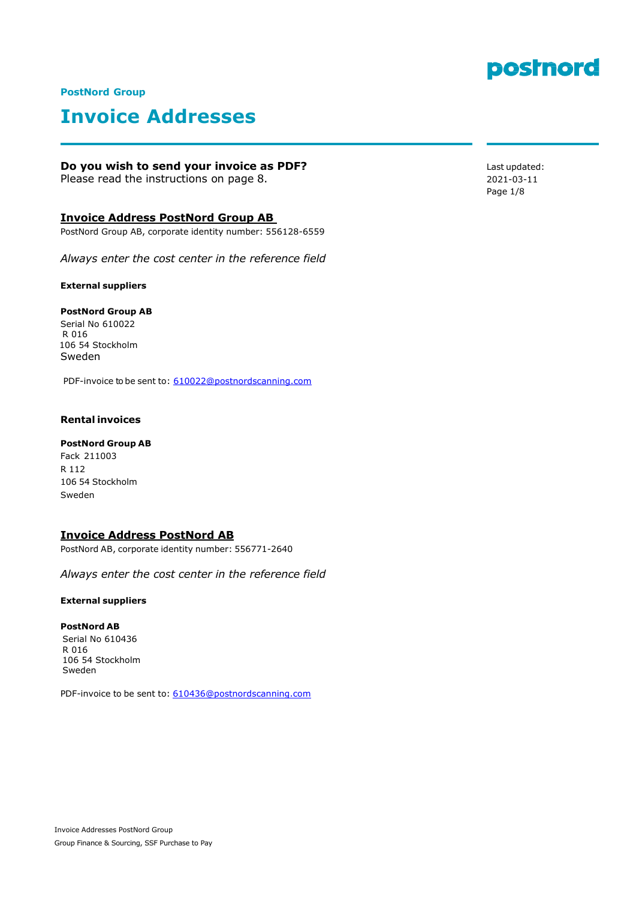

#### **PostNord Group**

# **Invoice Addresses**

#### **Do you wish to send your invoice as PDF?**

Please read the instructions on page 8.

#### **Invoice Address PostNord Group AB**

PostNord Group AB, corporate identity number: 556128-6559

*Always enter the cost center in the reference field*

**External suppliers**

#### **PostNord Group AB**

Serial No 610022 R 016 106 54 Stockholm Sweden

PDF-invoice to be sent to: [610022@postnordscanning.com](mailto:610022@postnordscanning.com)

#### **Rental invoices**

#### **PostNord Group AB**

Fack 211003 R 112 106 54 Stockholm Sweden

#### **Invoice Address PostNord AB**

PostNord AB, corporate identity number: 556771-2640

*Always enter the cost center in the reference field*

#### **External suppliers**

#### **PostNord AB**

Serial No 610436 R 016 106 54 Stockholm Sweden

PDF-invoice to be sent to: [610436@postnordscanning.com](mailto:610436@postnordscanning.com)

Last updated: 2021-03-11 Page 1/8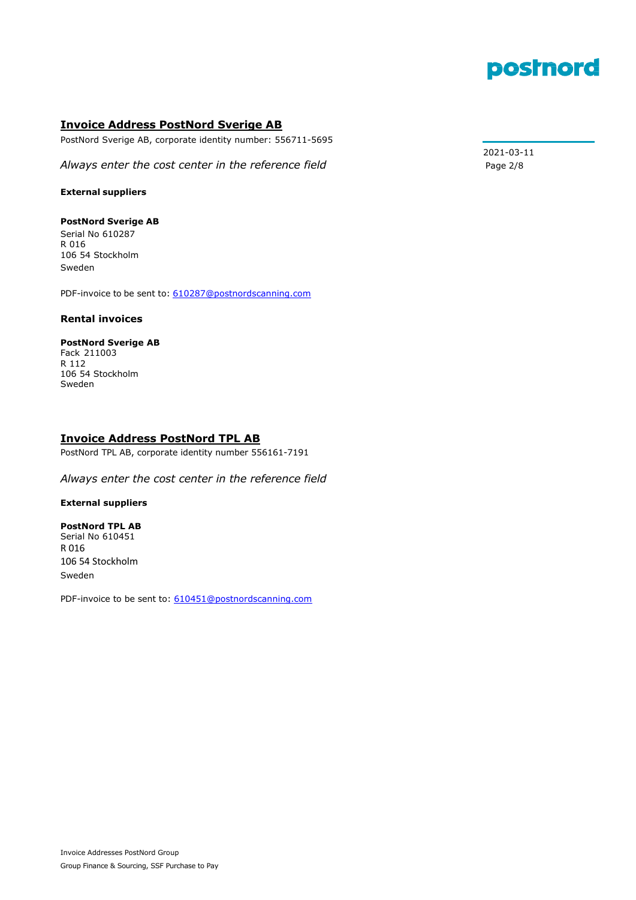

#### **Invoice Address PostNord Sverige AB**

PostNord Sverige AB, corporate identity number: 556711-5695

Always enter the cost center in the reference field **Page 2/8** Page 2/8

#### **External suppliers**

#### **PostNord Sverige AB**

Serial No 610287 R 016 106 54 Stockholm Sweden

PDF-invoice to be sent to: [610287@postnordscanning.com](mailto:610287@postnordscanning.com)

#### **Rental invoices**

### **PostNord Sverige AB**

Fack 211003 R 112 106 54 Stockholm Sweden

#### **Invoice Address PostNord TPL AB**

PostNord TPL AB, corporate identity number 556161-7191

*Always enter the cost center in the reference field*

#### **External suppliers**

#### **PostNord TPL AB**

Serial No 610451 R 016 106 54 Stockholm Sweden

PDF-invoice to be sent to: [610451@postnordscanning.com](mailto:610451@postnordscanning.com)

2021-03-11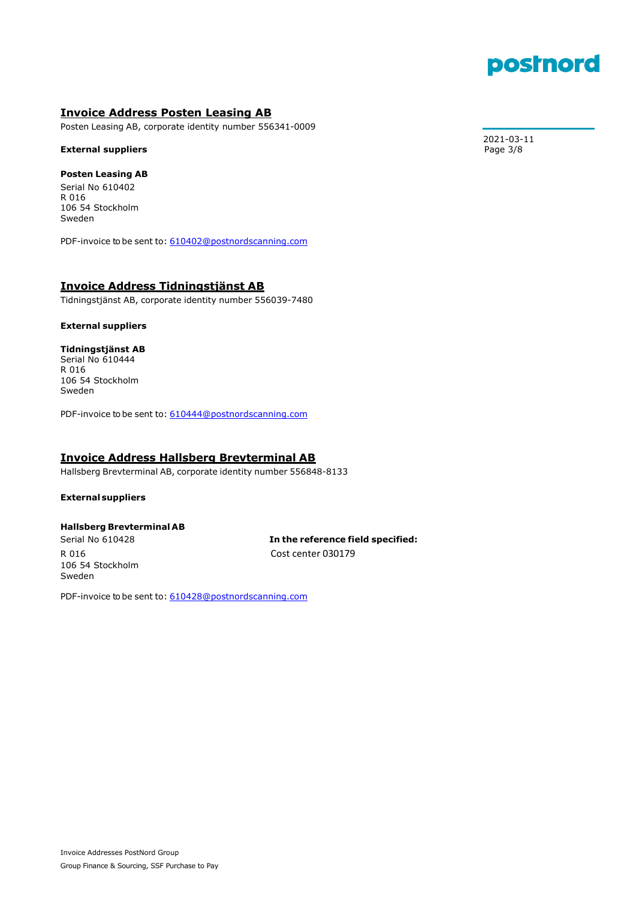# postnord

#### **Invoice Address Posten Leasing AB**

Posten Leasing AB, corporate identity number 556341-0009

#### **External suppliers**

#### **Posten Leasing AB**

Serial No 610402 R 016 106 54 Stockholm Sweden

PDF-invoice to be sent to: [610402@postnordscanning.com](mailto:610402@postnordscanning.com)

#### **Invoice Address Tidningstjänst AB**

Tidningstjänst AB, corporate identity number 556039-7480

#### **External suppliers**

#### **Tidningstjänst AB**

Serial No 610444 R 016 106 54 Stockholm Sweden

PDF-invoice to be sent to: [610444@postnordscanning.com](mailto:610444@postnordscanning.com)

#### **Invoice Address Hallsberg Brevterminal AB**

Hallsberg Brevterminal AB, corporate identity number 556848-8133

#### **Externalsuppliers**

#### **Hallsberg Brevterminal AB**

106 54 Stockholm Sweden

 Serial No 610428 **In the reference field specified:** R 016 Cost center 030179

PDF-invoice to be sent to: [610428@postnordscanning.com](mailto:610428@postnordscanning.com)

2021-03-11<br>Page 3/8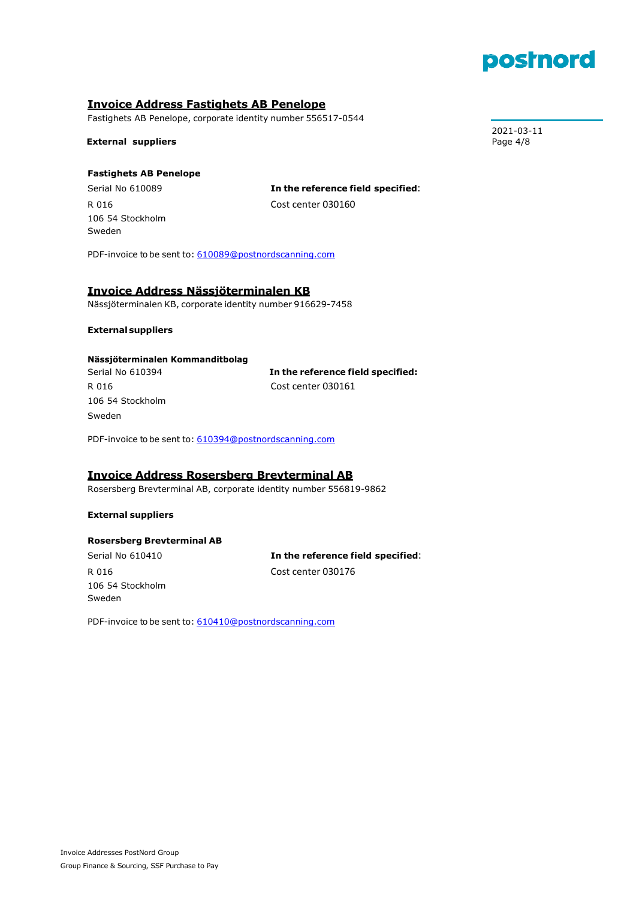

### **Invoice Address Fastighets AB Penelope**

Fastighets AB Penelope, corporate identity number 556517-0544

**External suppliers** Page 4/8

#### **Fastighets AB Penelope**

106 54 Stockholm Sweden

Serial No 610089 **In the reference field specified**: R 016 Cost center 030160

PDF-invoice to be sent to: [610089@postnordscanning.com](mailto:610089@postnordscanning.com)

#### **Invoice Address Nässjöterminalen KB**

Nässjöterminalen KB, corporate identity number 916629-7458

#### **Externalsuppliers**

#### **Nässjöterminalen Kommanditbolag**

106 54 Stockholm Sweden

Serial No 610394 **In the reference field specified:** R 016 Cost center 030161

PDF-invoice to be sent to: [610394@postnordscanning.com](mailto:610394@postnordscanning.com)

#### **Invoice Address Rosersberg Brevterminal AB**

Rosersberg Brevterminal AB, corporate identity number 556819-9862

#### **External suppliers**

#### **Rosersberg Brevterminal AB**

106 54 Stockholm Sweden

Serial No 610410 **In the reference field specified**: R 016 Cost center 030176

PDF-invoice to be sent to: [610410@postnordscanning.com](mailto:610410@postnordscanning.com)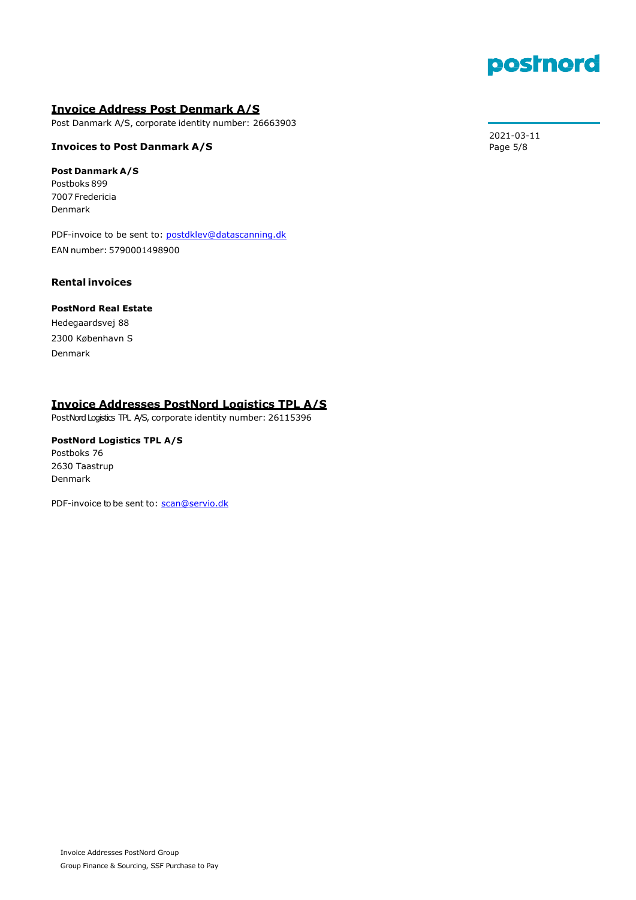

### **Invoice Address Post Denmark A/S**

Post Danmark A/S, corporate identity number: 26663903

#### **Invoices to Post Danmark A/S** Page 5/8

#### **Post Danmark A/S**

Postboks 899 7007 Fredericia Denmark

PDF-invoice to be sent to: [postdklev@datascanning.dk](mailto:postdklev@datascanning.dk) EAN number: 5790001498900

#### **Rental invoices**

#### **PostNord Real Estate**

Hedegaardsvej 88 2300 København S Denmark

### **Invoice Addresses PostNord Logistics TPL A/S**

PostNord Logistics TPL A/S, corporate identity number: 26115396

### **PostNord Logistics TPL A/S** Postboks 76

2630 Taastrup Denmark

PDF-invoice to be sent to: [scan@servio.dk](mailto:scan@servio.dk)

2021-03-11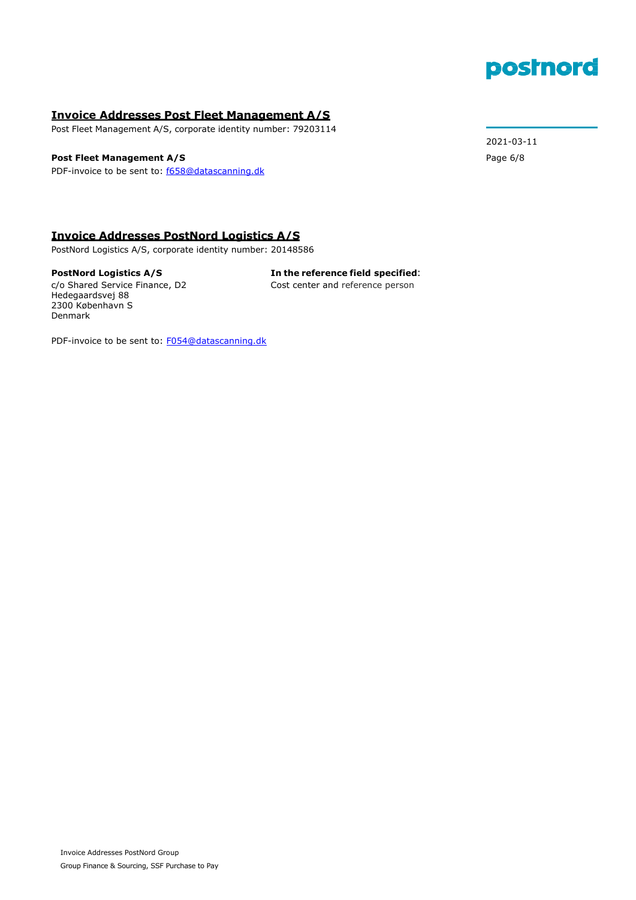# postnord

#### **Invoice Addresses Post Fleet Management A/S**

Post Fleet Management A/S, corporate identity number: 79203114

#### **Post Fleet Management A/S** Page 6/8

PDF-invoice to be sent to: [f658@datascanning.dk](mailto:f658@datascanning.dk)

2021-03-11

#### **Invoice Addresses PostNord Logistics A/S**

PostNord Logistics A/S, corporate identity number: 20148586

Hedegaardsvej 88 2300 København S Denmark

**PostNord Logistics A/S In the reference field specified**: c/o Shared Service Finance, D2 Cost center and reference person

PDF-invoice to be sent to: [F054@datascanning.dk](mailto:F054@datascanning.dk)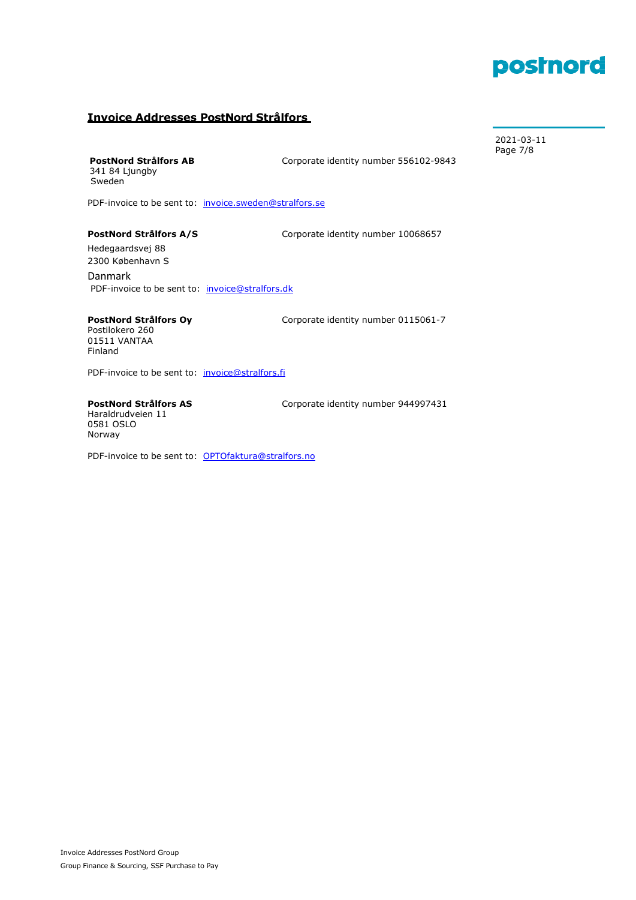# postnord

2021-03-11

#### **Invoice Addresses PostNord Strålfors**

341 84 Ljungby Sweden

 Page 7/8 **PostNord Strålfors AB Corporate identity number 556102-9843** 

PDF-invoice to be sent to: [invoice.sweden@stralfors.se](mailto:invoice.group@stralfors.dk)

**PostNord Strålfors A/S** Corporate identity number 10068657

Hedegaardsvej 88 2300 København S Danmark PDF-invoice to be sent to: [invoice@stralfors.dk](mailto:invoice@stralfors.dk)

## Postilokero 260 01511 VANTAA

Finland

**PostNord Strålfors Oy Corporate identity number 0115061-7** 

PDF-invoice to be sent to: [invoice@stralfors.fi](mailto:invoice@stralfors.fi)

Haraldrudveien 11 0581 OSLO Norway

PostNord Strålfors AS **Corporate identity number 944997431** 

PDF-invoice to be sent to: [OPTOfaktura@stralfors.no](mailto:OPTOfaktura@stralfors.no)